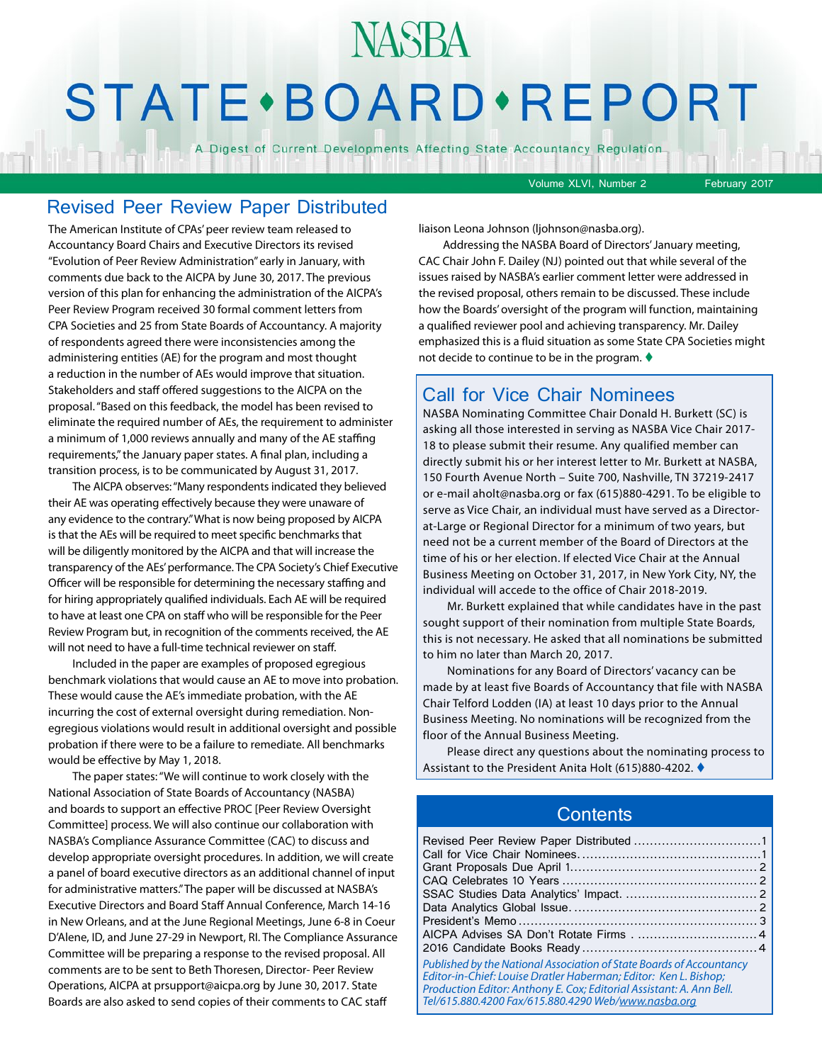# **NASBA STATE** · BOARD · REPORT

A Digest of Current Developments Affecting State Accountancy Regulation

Volume XLVI, Number 2 February 2017

#### Revised Peer Review Paper Distributed

The American Institute of CPAs' peer review team released to Accountancy Board Chairs and Executive Directors its revised "Evolution of Peer Review Administration" early in January, with comments due back to the AICPA by June 30, 2017. The previous version of this plan for enhancing the administration of the AICPA's Peer Review Program received 30 formal comment letters from CPA Societies and 25 from State Boards of Accountancy. A majority of respondents agreed there were inconsistencies among the administering entities (AE) for the program and most thought a reduction in the number of AEs would improve that situation. Stakeholders and staff offered suggestions to the AICPA on the proposal. "Based on this feedback, the model has been revised to eliminate the required number of AEs, the requirement to administer a minimum of 1,000 reviews annually and many of the AE staffing requirements," the January paper states. A final plan, including a transition process, is to be communicated by August 31, 2017.

The AICPA observes: "Many respondents indicated they believed their AE was operating effectively because they were unaware of any evidence to the contrary." What is now being proposed by AICPA is that the AEs will be required to meet specific benchmarks that will be diligently monitored by the AICPA and that will increase the transparency of the AEs' performance. The CPA Society's Chief Executive Officer will be responsible for determining the necessary staffing and for hiring appropriately qualified individuals. Each AE will be required to have at least one CPA on staff who will be responsible for the Peer Review Program but, in recognition of the comments received, the AE will not need to have a full-time technical reviewer on staff.

Included in the paper are examples of proposed egregious benchmark violations that would cause an AE to move into probation. These would cause the AE's immediate probation, with the AE incurring the cost of external oversight during remediation. Nonegregious violations would result in additional oversight and possible probation if there were to be a failure to remediate. All benchmarks would be effective by May 1, 2018.

The paper states: "We will continue to work closely with the National Association of State Boards of Accountancy (NASBA) and boards to support an effective PROC [Peer Review Oversight Committee] process. We will also continue our collaboration with NASBA's Compliance Assurance Committee (CAC) to discuss and develop appropriate oversight procedures. In addition, we will create a panel of board executive directors as an additional channel of input for administrative matters." The paper will be discussed at NASBA's Executive Directors and Board Staff Annual Conference, March 14-16 in New Orleans, and at the June Regional Meetings, June 6-8 in Coeur D'Alene, ID, and June 27-29 in Newport, RI. The Compliance Assurance Committee will be preparing a response to the revised proposal. All comments are to be sent to Beth Thoresen, Director- Peer Review Operations, AICPA at prsupport@aicpa.org by June 30, 2017. State Boards are also asked to send copies of their comments to CAC staff

liaison Leona Johnson (ljohnson@nasba.org).

Addressing the NASBA Board of Directors' January meeting, CAC Chair John F. Dailey (NJ) pointed out that while several of the issues raised by NASBA's earlier comment letter were addressed in the revised proposal, others remain to be discussed. These include how the Boards' oversight of the program will function, maintaining a qualified reviewer pool and achieving transparency. Mr. Dailey emphasized this is a fluid situation as some State CPA Societies might not decide to continue to be in the program.  $\blacklozenge$ 

#### Call for Vice Chair Nominees

NASBA Nominating Committee Chair Donald H. Burkett (SC) is asking all those interested in serving as NASBA Vice Chair 2017- 18 to please submit their resume. Any qualified member can directly submit his or her interest letter to Mr. Burkett at NASBA, 150 Fourth Avenue North – Suite 700, Nashville, TN 37219-2417 or e-mail aholt@nasba.org or fax (615)880-4291. To be eligible to serve as Vice Chair, an individual must have served as a Directorat-Large or Regional Director for a minimum of two years, but need not be a current member of the Board of Directors at the time of his or her election. If elected Vice Chair at the Annual Business Meeting on October 31, 2017, in New York City, NY, the individual will accede to the office of Chair 2018-2019.

Mr. Burkett explained that while candidates have in the past sought support of their nomination from multiple State Boards, this is not necessary. He asked that all nominations be submitted to him no later than March 20, 2017.

Nominations for any Board of Directors' vacancy can be made by at least five Boards of Accountancy that file with NASBA Chair Telford Lodden (IA) at least 10 days prior to the Annual Business Meeting. No nominations will be recognized from the floor of the Annual Business Meeting.

Please direct any questions about the nominating process to Assistant to the President Anita Holt (615)880-4202. ♦

#### **Contents**

| Published by the National Association of State Boards of Accountancy<br>Editor-in-Chief: Louise Dratler Haberman; Editor: Ken L. Bishop;<br>Production Editor: Anthony E. Cox; Editorial Assistant: A. Ann Bell.<br>Tel/615.880.4200 Fax/615.880.4290 Web/www.nasba.org |  |
|-------------------------------------------------------------------------------------------------------------------------------------------------------------------------------------------------------------------------------------------------------------------------|--|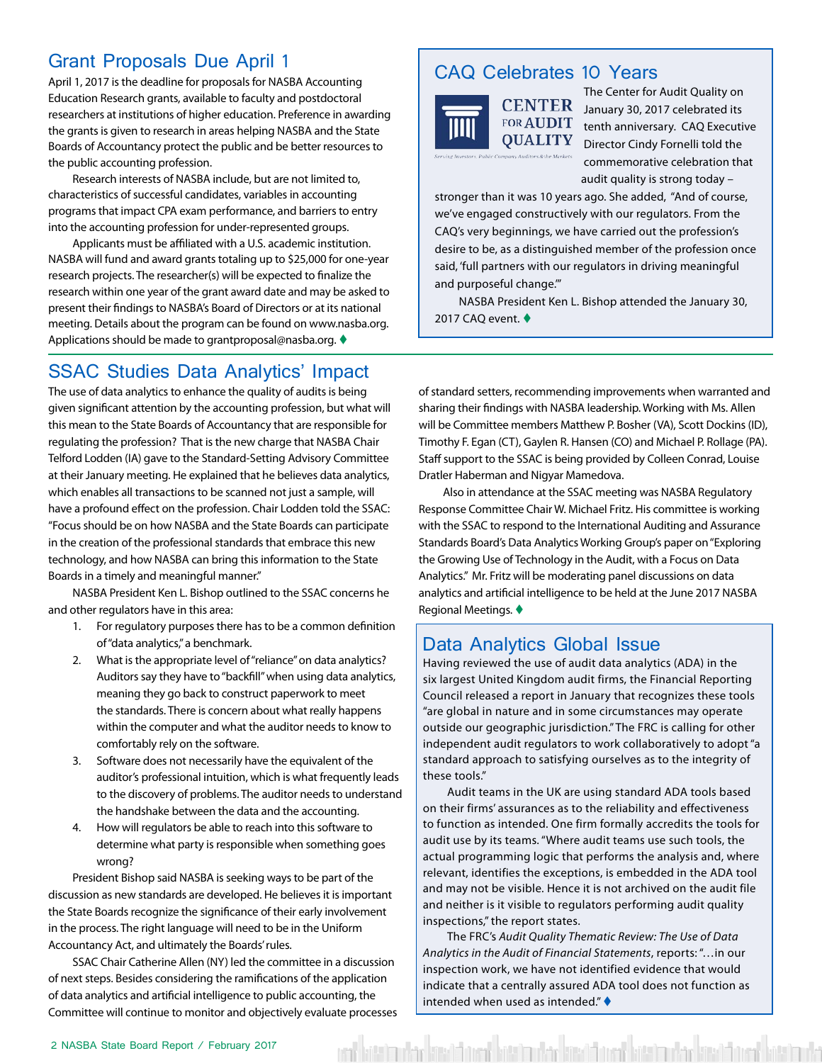#### <span id="page-1-0"></span>Grant Proposals Due April 1

April 1, 2017 is the deadline for proposals for NASBA Accounting Education Research grants, available to faculty and postdoctoral researchers at institutions of higher education. Preference in awarding the grants is given to research in areas helping NASBA and the State Boards of Accountancy protect the public and be better resources to the public accounting profession.

Research interests of NASBA include, but are not limited to, characteristics of successful candidates, variables in accounting programs that impact CPA exam performance, and barriers to entry into the accounting profession for under-represented groups.

Applicants must be affiliated with a U.S. academic institution. NASBA will fund and award grants totaling up to \$25,000 for one-year research projects. The researcher(s) will be expected to finalize the research within one year of the grant award date and may be asked to present their findings to NASBA's Board of Directors or at its national meeting. Details about the program can be found on www.nasba.org. Applications should be made to grantproposal@nasba.org.  $\blacklozenge$ 

#### SSAC Studies Data Analytics' Impact

The use of data analytics to enhance the quality of audits is being given significant attention by the accounting profession, but what will this mean to the State Boards of Accountancy that are responsible for regulating the profession? That is the new charge that NASBA Chair Telford Lodden (IA) gave to the Standard-Setting Advisory Committee at their January meeting. He explained that he believes data analytics, which enables all transactions to be scanned not just a sample, will have a profound effect on the profession. Chair Lodden told the SSAC: "Focus should be on how NASBA and the State Boards can participate in the creation of the professional standards that embrace this new technology, and how NASBA can bring this information to the State Boards in a timely and meaningful manner."

NASBA President Ken L. Bishop outlined to the SSAC concerns he and other regulators have in this area:

- 1. For regulatory purposes there has to be a common definition of "data analytics," a benchmark.
- 2. What is the appropriate level of "reliance" on data analytics? Auditors say they have to "backfill" when using data analytics, meaning they go back to construct paperwork to meet the standards. There is concern about what really happens within the computer and what the auditor needs to know to comfortably rely on the software.
- 3. Software does not necessarily have the equivalent of the auditor's professional intuition, which is what frequently leads to the discovery of problems. The auditor needs to understand the handshake between the data and the accounting.
- 4. How will regulators be able to reach into this software to determine what party is responsible when something goes wrong?

President Bishop said NASBA is seeking ways to be part of the discussion as new standards are developed. He believes it is important the State Boards recognize the significance of their early involvement in the process. The right language will need to be in the Uniform Accountancy Act, and ultimately the Boards' rules.

SSAC Chair Catherine Allen (NY) led the committee in a discussion of next steps. Besides considering the ramifications of the application of data analytics and artificial intelligence to public accounting, the Committee will continue to monitor and objectively evaluate processes

#### CAQ Celebrates 10 Years



**QUALITY** 

The Center for Audit Quality on CENTER January 30, 2017 celebrated its FOR AUDIT tenth anniversary. CAQ Executive Director Cindy Fornelli told the commemorative celebration that audit quality is strong today –

stronger than it was 10 years ago. She added, "And of course, we've engaged constructively with our regulators. From the CAQ's very beginnings, we have carried out the profession's desire to be, as a distinguished member of the profession once said, 'full partners with our regulators in driving meaningful and purposeful change.'"

NASBA President Ken L. Bishop attended the January 30, 2017 CAQ event.  $\blacklozenge$ 

of standard setters, recommending improvements when warranted and sharing their findings with NASBA leadership. Working with Ms. Allen will be Committee members Matthew P. Bosher (VA), Scott Dockins (ID), Timothy F. Egan (CT), Gaylen R. Hansen (CO) and Michael P. Rollage (PA). Staff support to the SSAC is being provided by Colleen Conrad, Louise Dratler Haberman and Nigyar Mamedova.

Also in attendance at the SSAC meeting was NASBA Regulatory Response Committee Chair W. Michael Fritz. His committee is working with the SSAC to respond to the International Auditing and Assurance Standards Board's Data Analytics Working Group's paper on "Exploring the Growing Use of Technology in the Audit, with a Focus on Data Analytics." Mr. Fritz will be moderating panel discussions on data analytics and artificial intelligence to be held at the June 2017 NASBA Regional Meetings.

#### Data Analytics Global Issue

Having reviewed the use of audit data analytics (ADA) in the six largest United Kingdom audit firms, the Financial Reporting Council released a report in January that recognizes these tools "are global in nature and in some circumstances may operate outside our geographic jurisdiction." The FRC is calling for other independent audit regulators to work collaboratively to adopt "a standard approach to satisfying ourselves as to the integrity of these tools."

Audit teams in the UK are using standard ADA tools based on their firms' assurances as to the reliability and effectiveness to function as intended. One firm formally accredits the tools for audit use by its teams. "Where audit teams use such tools, the actual programming logic that performs the analysis and, where relevant, identifies the exceptions, is embedded in the ADA tool and may not be visible. Hence it is not archived on the audit file and neither is it visible to regulators performing audit quality inspections," the report states.

The FRC's *Audit Quality Thematic Review: The Use of Data Analytics in the Audit of Financial Statements*, reports: "…in our inspection work, we have not identified evidence that would indicate that a centrally assured ADA tool does not function as intended when used as intended."  $\blacklozenge$ 

ent battimular követ formi kött indarkvast formi kött indarkväst követ kött inda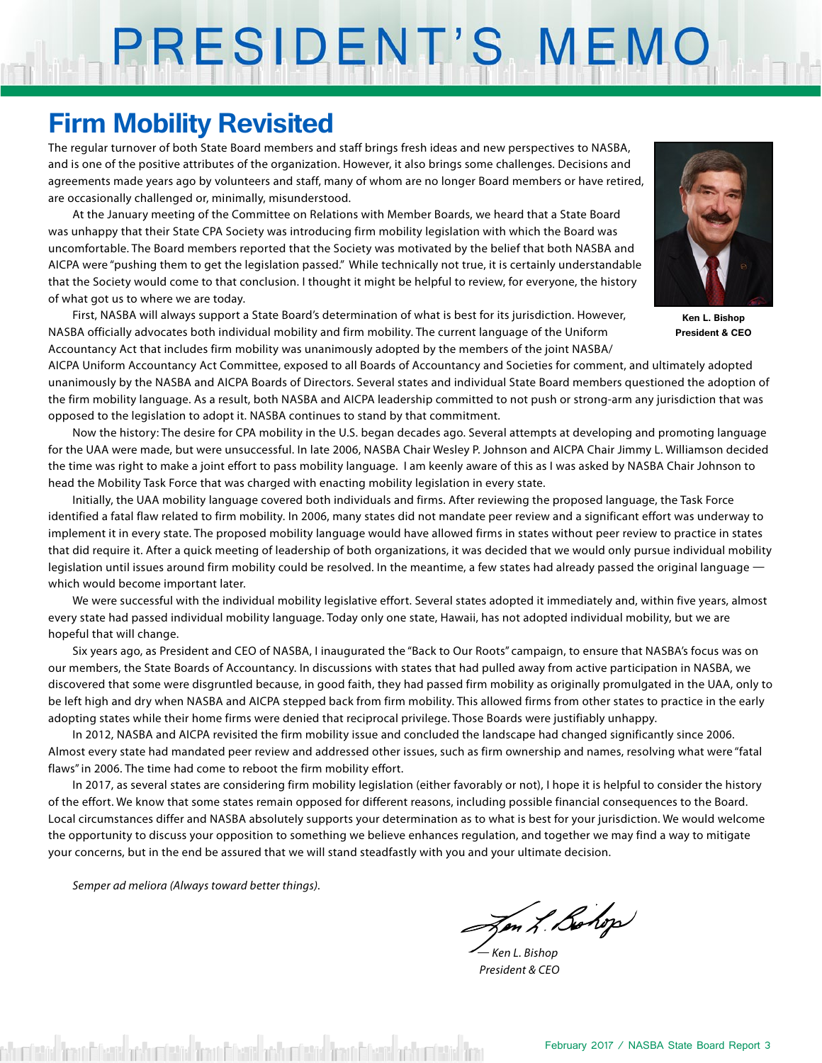# PRESIDENT'S MEMO

### **Firm Mobility Revisited**

The regular turnover of both State Board members and staff brings fresh ideas and new perspectives to NASBA, and is one of the positive attributes of the organization. However, it also brings some challenges. Decisions and agreements made years ago by volunteers and staff, many of whom are no longer Board members or have retired, are occasionally challenged or, minimally, misunderstood.

At the January meeting of the Committee on Relations with Member Boards, we heard that a State Board was unhappy that their State CPA Society was introducing firm mobility legislation with which the Board was uncomfortable. The Board members reported that the Society was motivated by the belief that both NASBA and AICPA were "pushing them to get the legislation passed." While technically not true, it is certainly understandable that the Society would come to that conclusion. I thought it might be helpful to review, for everyone, the history of what got us to where we are today.

First, NASBA will always support a State Board's determination of what is best for its jurisdiction. However, NASBA officially advocates both individual mobility and firm mobility. The current language of the Uniform Accountancy Act that includes firm mobility was unanimously adopted by the members of the joint NASBA/



**Ken L. Bishop President & CEO**

AICPA Uniform Accountancy Act Committee, exposed to all Boards of Accountancy and Societies for comment, and ultimately adopted unanimously by the NASBA and AICPA Boards of Directors. Several states and individual State Board members questioned the adoption of the firm mobility language. As a result, both NASBA and AICPA leadership committed to not push or strong-arm any jurisdiction that was opposed to the legislation to adopt it. NASBA continues to stand by that commitment.

Now the history: The desire for CPA mobility in the U.S. began decades ago. Several attempts at developing and promoting language for the UAA were made, but were unsuccessful. In late 2006, NASBA Chair Wesley P. Johnson and AICPA Chair Jimmy L. Williamson decided the time was right to make a joint effort to pass mobility language. I am keenly aware of this as I was asked by NASBA Chair Johnson to head the Mobility Task Force that was charged with enacting mobility legislation in every state.

Initially, the UAA mobility language covered both individuals and firms. After reviewing the proposed language, the Task Force identified a fatal flaw related to firm mobility. In 2006, many states did not mandate peer review and a significant effort was underway to implement it in every state. The proposed mobility language would have allowed firms in states without peer review to practice in states that did require it. After a quick meeting of leadership of both organizations, it was decided that we would only pursue individual mobility legislation until issues around firm mobility could be resolved. In the meantime, a few states had already passed the original language – which would become important later.

We were successful with the individual mobility legislative effort. Several states adopted it immediately and, within five years, almost every state had passed individual mobility language. Today only one state, Hawaii, has not adopted individual mobility, but we are hopeful that will change.

Six years ago, as President and CEO of NASBA, I inaugurated the "Back to Our Roots" campaign, to ensure that NASBA's focus was on our members, the State Boards of Accountancy. In discussions with states that had pulled away from active participation in NASBA, we discovered that some were disgruntled because, in good faith, they had passed firm mobility as originally promulgated in the UAA, only to be left high and dry when NASBA and AICPA stepped back from firm mobility. This allowed firms from other states to practice in the early adopting states while their home firms were denied that reciprocal privilege. Those Boards were justifiably unhappy.

In 2012, NASBA and AICPA revisited the firm mobility issue and concluded the landscape had changed significantly since 2006. Almost every state had mandated peer review and addressed other issues, such as firm ownership and names, resolving what were "fatal flaws" in 2006. The time had come to reboot the firm mobility effort.

In 2017, as several states are considering firm mobility legislation (either favorably or not), I hope it is helpful to consider the history of the effort. We know that some states remain opposed for different reasons, including possible financial consequences to the Board. Local circumstances differ and NASBA absolutely supports your determination as to what is best for your jurisdiction. We would welcome the opportunity to discuss your opposition to something we believe enhances regulation, and together we may find a way to mitigate your concerns, but in the end be assured that we will stand steadfastly with you and your ultimate decision.

*Semper ad meliora (Always toward better things).*

Zen L. Bohop

*— Ken L. Bishop President & CEO*

shumbeted firms infected and contained finantial and under the finantial and contained firm